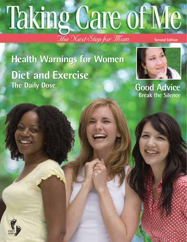## Taking Care of Me The Next Step for Thom **Second Edition**

**Health Warnings for Women Diet and Exercise The Daily Dose**



**Good Advice Break the Silence**

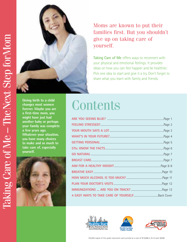

#### Moms are known to put their families first. But you shouldn't give up on taking care of yourself.

**Taking Care of Me** offers ways to reconnect with your physical and emotional feelings. It provides ideas on how you can feel happier and be healthier. Pick one idea to start and give it a try. Don't forget to share what you learn with family and friends.

**Giving birth to a child changes most women forever. Maybe you are a first-time mom, you might have just had another baby or perhaps your family was complete a few years ago. Whatever your situation, you have many choices to make and so much to take care of, especially yourself.** 



## **Contents**





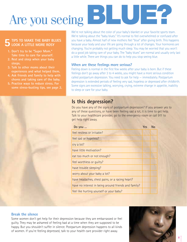## Are you seeing**BLUE?**

#### **TIPS TO MAKE THE BABY BLUES LOOK A LITTLE MORE ROSY 5**

- **1. Don't try to be "Super Mom." Take time to care for yourself.**
- **2. Rest and sleep when your baby sleeps.**
- **3. Talk to other moms about their experiences and what helped them.**
- **4. Ask friends and family to help with chores and taking care of the baby.**
- **5. Practice ways to reduce stress. For some stress-busting tips, see page 2.**



We're not talking about the color of your baby's blanket or your favorite sports team. We're talking about the "baby blues." It's normal to feel overwhelmed or confused after you have a baby. Almost half of new mothers feel "blue" after giving birth. This happens because your body and your life are going through a lot of changes. Your hormones are changing. You're probably not getting much sleep. You may be worried that you won't do a good job taking care of your baby. The "baby blues" are normal and usually only last a little while. There are things you can do to help you stop seeing blue.

#### **When are these feelings more serious?**

Feeling down is normal in the first few weeks after your baby is born. But if these feelings don't go away after 3 to 4 weeks, you might have a more serious condition called postpartum depression. You need to ask for help — immediately. Postpartum depression is extended periods of feeling very sad, hopeless or depressed after childbirth. Some signs are excessive talking, worrying, crying, extreme change in appetite, inability to sleep or care for your baby.

#### **Is this depression?**

Do you have any of the signs of postpartum depression? If you answer yes to any of these questions, or have been feeling sad a lot, it is time to get help. Talk to your healthcare provider, go to the emergency room or call 911 to get help right away.

| Do you                                               | Yes | No |
|------------------------------------------------------|-----|----|
| feel restless or irritable?                          |     |    |
| feel sad or hopeless?                                |     |    |
| cry a lot?                                           |     |    |
| have little motivation?                              |     |    |
| eat too much or not enough?                          |     |    |
| feel worthless or guilty?                            |     |    |
| have trouble sleeping?                               |     |    |
| worry about your baby a lot?                         |     |    |
| have headaches, chest pains, or a racing heart?      |     |    |
| have no interest in being around friends and family? |     |    |
| feel like hurting yourself or your baby?             |     |    |

#### **Break the silence**

Some women don't get help for their depression because they are embarrassed or feel guilty. They may be ashamed of feeling bad at a time when they are supposed to be happy. But you shouldn't suffer in silence. Postpartum depression happens to all kinds of women. If you're feeling depressed, talk to your health care provider right away.

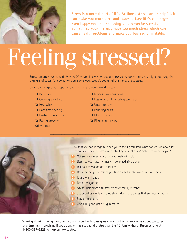

**Stress is a normal part of life. At times, stress can be helpful. It can make you more alert and ready to face life's challenges. Even happy events, like having a baby can be stressful. Sometimes, your life may have too much stress which can cause health problems and make you feel sad or irritable.** 

# Feeling stressed?

Stress can affect everyone differently. Often, you know when you are stressed. At other times, you might not recognize the signs of stress right away. Here are some ways people's bodies tell them they are stressed.

Check the things that happen to you. You can add your own ideas too.

- 
- 
- 
- ❏ Hard time sleeping ❏ Pounding heart
- ❏ Unable to concentrate ❏ Muscle tension
- 
- Other signs:
- ❏ Back pain ❏ Indigestion or gas pains
- ❏ Grinding your teeth ❏ Loss of appetite or eating too much
- ❏ Headaches ❏ Upset stomach
	-
	-
- ❏ Feeling grouchy ❏ Ringing in the ears

Now that you can recognize when you're feeling stressed, what can you do about it? Here are some healthy ideas for controlling your stress. Which ones work for you?

- **1** Get some exercise even a quick walk will help.
- **2** Listen to your favorite music go ahead, sing along.
- **3** Talk to a friend, or lots of friends.

\_\_\_\_\_\_\_\_\_\_\_\_\_\_\_\_\_\_\_\_\_\_\_\_\_\_\_\_\_\_\_\_\_\_\_\_\_\_\_\_\_\_\_\_\_\_\_\_\_\_\_\_\_\_\_\_

- **4** Do something that makes you laugh tell a joke, watch a funny movie.
- **5** Take a warm bath.
- **6** Read a magazine.
- **7** Ask for help from a trusted friend or family member.
- **8** Set priorities only concentrate on doing the things that are most important.
- **9** Pray or meditate.
- **10** Give a hug and get a hug in return.

Smoking, drinking, taking medicines or drugs to deal with stress gives you a short-term sense of relief, but can cause long-term health problems. If you do any of these to get rid of stress, call the **NC Family Health Resource Line at 1-800-367-2229** for help on how to stop.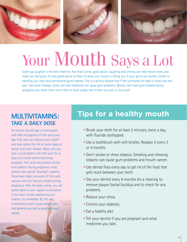

## Your Mouth Says a Lot

Some say laughter is the best medicine. And that's pretty good advice. Laughing and smiling can help reduce stress and make you feel good. It's also good advice to listen to what your mouth is telling you. If your gums are swollen, tender or bleeding, you may have periodontal (gum) disease. This is a serious disease that if left untreated can lead to tooth loss and pain. Hormone changes, stress, diet and medicines can cause gum problems. Women who have gum disease during pregnancy are seven times more likely to have a baby that is born too early or too small.

## **TAKE A DAILY DOSE**

All women should take a multivitamin with 400 micrograms of folic acid every day. Folic acid can improve your health and help reduce the risk of some types of cancer and heart disease. Make sure you take a multivitamin with folic acid for at least one month before becoming pregnant. Folic acid may prevent certain birth defects. During pregnancy most women take special "prenatal" vitamins. These have higher amounts of folic acid, calcium and iron that are needed during pregnancy. After the baby comes, you can switch back to your regular multivitamin. If you have trouble swallowing your vitamin, try chewables. By the way, multivitamins don't cause weight gain. And generics are just as good as brand names.

#### **MULTIVITAMINS: Tips for a healthy mouth**

- Brush your teeth for at least 2 minutes, twice a day, with fluoride toothpaste.
- Use a toothbrush with soft bristles. Replace it every 3 or 4 months.
- Don't smoke or chew tobacco. Smoking and chewing tobacco can cause gum problems and mouth cancer.
- Use dental floss every day to get rid of the food that gets stuck between your teeth.
- See your dentist every 6 months for a cleaning to remove plaque (tartar) buildup and to check for any problems.
- Reduce your stress.
- Control your diabetes.
- Eat a healthy diet.
- Tell your dentist if you are pregnant and what medicines you take.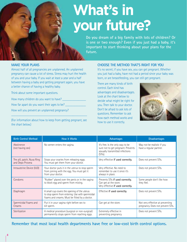

## **What's in your future?**

**Do you dream of a big family with lots of children? Or is one or two enough? Even if you just had a baby, it's important to start thinking about your plans for the future.** 

#### **MAKE YOUR PLANS**

Almost half of all pregnancies are unplanned. An unplanned pregnancy can cause a lot of stress. Stress may hurt the health of you and your baby. If you wait at least a year and a half between having a baby and getting pregnant again, you have a better chance of having a healthy baby.

Think about some important questions.

How many children do you want to have? \_

How far apart do you want their ages to be? \_\_\_\_\_\_\_\_\_\_\_\_\_

How will you prevent an unplanned pregnancy?

(For information about how to keep from getting pregnant, see the chart below.)

 $\_$  , and the set of the set of the set of the set of the set of the set of the set of the set of the set of the set of the set of the set of the set of the set of the set of the set of the set of the set of the set of th

#### **CHOOSE THE METHOD THAT'S RIGHT FOR YOU**

It's no secret; if you have sex, you can get pregnant. Whether you just had a baby, have not had a period since your baby was born, or are breastfeeding, you can still get pregnant.

There are many kinds of birth control. Each kind has advantages and disadvantages. Look at the chart below to decide what might be right for you. Then talk to your doctor. Don't be afraid to ask lots of questions. Remember to ask how each method works and how to use it correctly.



| <b>Birth Control Method</b>                    | <b>How it Works</b>                                                                                                                                | Advantages                                                                                                           | <b>Disadvantages</b>                                                  |
|------------------------------------------------|----------------------------------------------------------------------------------------------------------------------------------------------------|----------------------------------------------------------------------------------------------------------------------|-----------------------------------------------------------------------|
| Abstinence<br>(not having sex)                 | No semen enters the vagina.                                                                                                                        | It's free. Is the only way to be<br>sure not to get pregnant. Prevents<br>sexually transmitted infections<br>(STIs). | May not be realistic if you<br>have a regular partner.                |
| The pill, patch, Nuva Ring<br>and Depo Provera | Stops your ovaries from releasing eggs.<br>You must get them from your doctor.                                                                     | Very effective if used correctly.                                                                                    | Does not prevent STIs.                                                |
| Intrauterine Device (IUD)                      | Your doctor puts it in the uterus to stop sperm<br>from joining with the egg. You must get it<br>from your doctor.                                 | Very effective. No need to<br>remember to use it since it's<br>always in place.                                      | Does not prevent STIs.                                                |
| Condoms                                        | "Rubber" placed over the penis or in the vagina<br>to block egg and sperm from mixing.                                                             | Prevents STIs if used correctly.<br>Can get at the store.<br>Very effective if used correctly.                       | Some people don't like how<br>they feel.                              |
| Diaphragm                                      | A small cup covers the opening of the uterus<br>to stop sperm from entering. Use with spermicidal<br>foams and creams. Must be fitted by a doctor. | Effective if used correctly.                                                                                         | Does not prevent STIs.                                                |
| Spermicidal Foams and<br>Creams                | Put it in your vagina right before sex to<br>kill sperm.                                                                                           | Can get at the store.                                                                                                | Not very effective at preventing<br>pregnancy. Does not prevent STIs. |
| Sterilization                                  | A medical procedure (surgical or non-surgical)<br>permanently stops sperm from reaching eggs.                                                      | Extremely effective in<br>preventing pregnancy.                                                                      | Does not prevent STIs.                                                |

**Remember that most local health departments have free or low-cost birth control options.**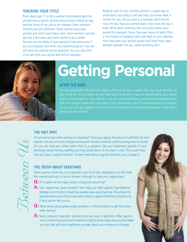#### **TRACKING YOUR CYCLE**

From about age 11 to 50, a woman menstruates (gets her period) once a month. During menstruation, blood, an egg and the lining of her uterus are released. Every woman's monthly period is different. Some women have light periods, and some have heavy ones. Some women's periods last just a few days, and some women's last a week. Doctors use the dates of your period to help determine if you are pregnant and when you became pregnant. You can still have your period and be pregnant. You can also miss or be late with your period and not be pregnant.

Keeping track of your monthly period is a good way to understand your body. It will also help you know what is normal for you. All you need is a calendar. Each month, mark the day that your period starts. Then mark the day it ends. Write down anything that you notice about your period (for example, if your flow was heavy or light). After a few months of keeping track, look back at your calendar. How long does your period usually last? How many days between periods? Do you notice anything else?



## **Getting Personal**

#### **AFTER THE BABY**

The first period after the birth of a baby is different for every woman. You may have bleeding off and on for the first six weeks as your body starts to recover. If you are breastfeeding, your period might not come back for many months. If you are not breastfeeding, your period will probably come back four to eight weeks after your baby is born. Remember, even if your period hasn't come back yet, you can still get pregnant. Use birth control to prevent an unplanned pregnancy. If you miss a

#### **THE WET SPOT**

It's normal to have some wetness or "discharge" from your vagina. The amount is different for each woman. The amount even changes during each woman's monthly cycle. Knowing what is normal for you can help you notice when there is a problem. Call your healthcare provider if your discharge causes itching, swelling, burning, smells bad or is not clear in color. This could mean that you have a vaginal infection. To learn more about vaginal infections, turn to page 6.

#### **THE TRUTH ABOUT DOUCHING**

Some women think they must douche to get rid of their discharge or to feel fresh. But normal bathing in a tub or shower is enough to keep your vagina clean.

- **Q:** If it makes me feel clean, what's wrong with douching?
- **A:** Your vagina has "good bacteria" that helps you fight against "bad bacteria" (disease and infection). Douching washes away good bacteria. This allows the bad bacteria to grow. Douching is also linked to vaginal infections. Douche only if your doctor tells you to.
- **Q:** What about using sprays, wipes, powders or other products to get that extraclean feeling?
- A: Some products, especially scented ones, can lead to problems. Wear panties with a cotton lining and comfortable (not tight) clothes. Keep clean and dry. Make sure you talk with your healthcare provider about any concerns or changes.



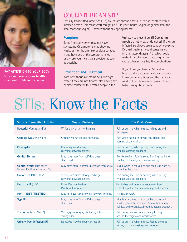

**PAY ATTENTION TO YOUR BODY STIs can cause serious health risks and problems for women.** 

#### COULD IT BE AN STI?

Sexually transmitted infections (STIs) are passed through sexual or "close" contact with an infected person. This means you can get an STI in your mouth, vagina or genital area (the area near your vagina) — even without having vaginal sex.

#### **Symptoms**

Some infected women may not have symptoms. Or symptoms may show up weeks or months after sex or close contact. If you have any of the symptoms listed below, see your healthcare provider as soon as possible.

#### **Prevention and Treatment**

With or without symptoms, STIs don't get better if they are not treated. Not having sex or close contact with infected people is the

best way to prevent an STI. Sometimes people do not know or do not tell if they are infected, so always use a condom correctly. Delayed treatment could cause pelvic inflammatory disease (PID) which could make it hard for you to get pregnant or cause other serious health complications.

If you think you have an STI and are breastfeeding, let your healthcare provider know. Some infections and the medicines used to treat them can be passed to your baby through breast milk.

## STIs: Know the Facts

| <b>Sexually Transmitted Infection</b>                             | <b>Vaginal Discharge</b>                                         | <b>This Could Cause</b>                                                                                                                                         |
|-------------------------------------------------------------------|------------------------------------------------------------------|-----------------------------------------------------------------------------------------------------------------------------------------------------------------|
| <b>Bacterial Vaginosis (BV)</b>                                   | White, gray or thin with a smell.                                | Pain or burning when peeing. Itching around<br>the vagina.                                                                                                      |
| Candida (yeast infection)                                         | Cottage cheese-looking discharge.                                | Pain when peeing or having sex. Itching and<br>burning of the vagina.                                                                                           |
| Chlamydia                                                         | Heavy vaginal discharge.<br>Bleeding between periods.            | Pain or burning when peeing. Pain during sex.<br>Problems getting pregnant.                                                                                     |
| <b>Genital Herpes</b>                                             | May have more "normal" discharge<br>than usual.                  | Flu-like feelings. Painful sores. Burning, itching or<br>swelling of the vagina or areas close by.                                                              |
| <b>Genital Warts (also called</b><br>Human Papillomavirus or HPV) | May have more "normal" discharge than usual.                     | Visible warts in the vagina and the areas close by,<br>including the thighs.                                                                                    |
| <b>Gonorrhea</b> ("The Clap")                                     | Yellow, sometimes bloody discharge.<br>Bleeding between periods. | Pain during sex. Pain or burning when peeing.<br>Problems getting pregnant.                                                                                     |
| Hepatitis B (HBV)                                                 | None. Pee may be dark.<br>Pale bowel movements.                  | Headaches and muscle aches, stomach pain.<br>Loss of appetite. Nausea, vomiting, and diarrhea.                                                                  |
| HIV - GET TESTED!                                                 | May not have symptoms for 10 years or more.                      | HIV causes AIDS.                                                                                                                                                |
| <b>Syphilis</b>                                                   | May have more "normal" discharge<br>than usual.                  | Muscle aches, fever, sore throat, headaches and<br>swollen glands. Painless sores. Skin rashes, patchy<br>hair loss and weight loss. Problems getting pregnant. |
| Trichomoniasis ("Trich")                                          | Yellow, green or gray discharge, with a<br>strong odor.          | Pain during sex and when peeing. Itching<br>around the vagina and nearby areas.                                                                                 |
| Urinary Tract Infection (UTI)                                     | None. Pee may be cloudy or reddish.                              | Pain or burning when peeing. Feeling the urge<br>to pee, but only passing small amounts.                                                                        |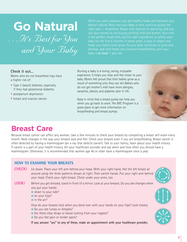## **Go Natural** *…It's Best for You and Your Baby*

While you were pregnant, you ate healthy foods and followed your doctor's advice. Now that your baby is here, continue giving the can save money by not buying artificial milk and bottles. Your milk baby for the first 6 months. It tastes great, is easy to digest and helps your baby's brain grow. As your baby continues to grow and develop, add solid foods and continue breastfeeding until your baby is **at least** 1 year old.

#### **Check it out…**

Moms who do not breastfeed may have a higher risk of:

- Type 2 (adult) diabetes, especially if they had gestational diabetes.
- postpartum depression.
- breast and ovarian cancer.

Nursing a baby is a loving, caring, enjoyable experience. It helps you relax and feel closer to your baby. Moms feel proud that their babies grow as a result of something only they can do! Babies who do not get mother's milk have more allergies, earaches, obesity and diabetes later in life.

Keep in mind that a breast pump can help you when you go back to work. The WIC Program is a great place to get more information on breastfeeding and breast pumps.



Because breast cancer can affect any woman, take a few minutes to check your breasts by completing a breast self-exam every month. Note changes in the way your breasts look and feel. Check your breasts even if you are breastfeeding. Breast cancer is often detected by having a mammogram (an x-ray that detects cancer). Talk to your family; learn about your health history. If cancer is a part of your health history, tell your healthcare provider and ask when and how often you should have a mammogram. Otherwise, it is recommended that women age 40 or older have a mammogram once a year.

#### **HOW TO EXAMINE YOUR BREASTS**

- **CHECK!** Lie down. Place your left arm behind your head. With your right hand, feel the left breast all around using the three patterns shown at right. Then switch hands. Put your right arm behind your head. Check your right breast. Check under your arms, too.
- **LOOK!** Before you get dressed, stand in front of a mirror. Look at your breasts. Do you see changes when you put your hands:
	- down to your side?
	- on your hips?
	- $\bullet$  in the air?

How do your breasts look when you bend over with your hands on your hips? Look closely.

- Do you see lumps or dimples?
- Are there clear drops or blood coming from your nipples?
- Do you feel pain or tender spots?

**If you answer "yes" to any of these, make an appointment with your healthcare provider.**

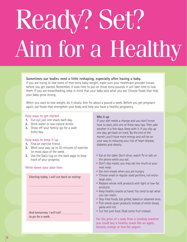# Ready? Set? Aim for a Healthy

#### **Sometimes our bodies need a little reshaping, especially after having a baby.**

If you are trying to lose some of that extra baby-weight, make sure your healthcare provider knows before you get started. Remember, it took time to put on those extra pounds. It will take time to lose them. If you are breastfeeding, keep in mind that your baby eats what you eat. Choose foods that help your baby grow strong.

When you start to lose weight, do it slowly. Aim for about a pound a week. Before you get pregnant again, eat foods that strengthen your body and help you have a healthy pregnancy.

#### **Easy ways to get started**

- **1.** Cut out just one snack each day.
- **2.** Drink water or low-calorie drinks.
- **3.** Show off your family; go for a walk every day.

#### **Easy ways to keep it up**

- **1.** Find an exercise friend.
- **2.** Work your way up to 30 minutes of exercise on most days of the week.
- **3.** Use the Daily Log on the back page to keep track of your progress.

#### **Write down your plan here**

#### *Starting today, I will cut back on eating:*

*\_\_\_\_\_\_\_\_\_\_\_\_\_\_\_\_\_\_\_\_\_\_\_\_\_\_\_\_\_\_\_\_\_\_\_*

*\_\_\_\_\_\_\_\_\_\_\_\_\_\_\_\_\_\_\_\_\_\_\_\_\_\_\_\_\_\_\_\_\_\_\_*

*\_\_\_\_\_\_\_\_\_\_\_\_\_\_\_\_\_\_\_\_\_\_\_\_\_\_\_\_\_\_\_\_\_\_\_*

#### *And tomorrow, I will call \_\_\_\_\_\_\_\_\_\_\_\_\_\_\_\_\_\_\_\_\_ to go for a walk.*

#### **Mix it up**

If your diet needs a change and you don't know how to start, pick one of these easy tips. Then add another in a few days. Keep with it. If you slip up one day, get back on track. By the end of the month, you'll have more energy and will be on your way to reducing your risk of heart disease, diabetes and obesity.

- Eat at the table. Don't drive, watch TV or talk on the phone while you eat.
- Don't skip meals; you may eat too much at your next meal.
- Eat mini-meals when you are hungry.
- Choose small or regular sized portions, not extralarge sizes.
- Replace whole milk products with light or low-fat products.
- Keep healthy snacks at hand. You tend to eat what you can reach.
- Skip fried foods. Eat grilled, baked or steamed ones.
- Pick whole-grain products instead of white bread, pasta and rice.
- Cut the junk food. Grab some fruit instead.

**For the price of a soda from a vending machine you could buy a healthy snack like an apple, banana, orange or low-fat yogurt.**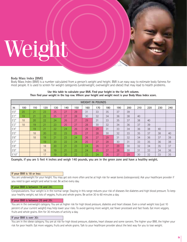# Weight

#### **Body Mass Index (BMI)**

Body Mass Index (BMI) is a number calculated from a person's weight and height. BMI is an easy way to estimate body fatness for most people. It is used to screen for weight categories (underweight, overweight and obese) that may lead to health problems.

| <b>WEIGHT IN POUNDS</b> |                 |     |     |     |     |     |     |     |     |     |     |     |     |     |     |
|-------------------------|-----------------|-----|-----|-----|-----|-----|-----|-----|-----|-----|-----|-----|-----|-----|-----|
| ht                      | 100             | 110 | 120 | 130 | 140 | 150 | 160 | 170 | 180 | 190 | 200 | 210 | 220 | 230 | 240 |
| 5'0''                   | 20              | 21  | 23  | 25  | 27  | 29  | 31  | 33  | 35  | 37  | 39  |     |     |     |     |
| 5'1''                   | 19 <sup>°</sup> | 21  | 23  | 25  | 27  | 28  | 30  | 32  | 34  | 36  | 38  | 40  |     |     |     |
| 5'2''                   | 18              | 20  | 22  | 24  | 26  | 27  | 29  | 31  | 33  | 35  | 37  | 38  | 40  |     |     |
| 5'3''                   | 18              | 19  | 21  | 23  | 25  | 27  | 28  | 30  | 32  | 34  | 36  | 37  | 39  |     |     |
| 5'4''                   |                 | 19  | 21  | 22  | 24  | 26  | 28  | 29  | 31  | 33  | 34  | 36  | 38  | 40  |     |
| 5'5''                   |                 | 18  | 20  | 22  | 23  | 25  | 27  | 28  | 30  | 32  | 33  | 35  | 37  | 38  | 40  |
| 5'6"                    |                 | 18  | 19  | 21  | 23  | 24  | 26  | 27  | 29  | 31  | 32  | 34  | 36  | 37  | 39  |
| 5'7''                   |                 |     | 19  | 20  | 22  | 24  | 25  | 27  | 28  | 30  | 31  | 33  | 35  | 36  | 38  |
| 5'8''                   |                 |     | 18  | 20  | 21  | 23  | 24  | 26  | 27  | 29  | 30  | 32  | 34  | 35  | 37  |
| 5'9''                   |                 |     | 18  | 19  | 21  | 22  | 24  | 25  | 27  | 28  | 30  | 31  | 33  | 34  | 36  |
| 5'10"                   |                 |     | 17  | 19  | 20  | 22  | 23  | 24  | 26  | 27  | 29  | 30  | 32  | 33  | 35  |

**Use this table to calculate your BMI. Find your height in the far left column. Then find your weight in the top row. Where your height and weight meet is your Body Mass Index score.**

**Example, if you are 5 feet 4 inches and weigh 140 pounds, you are in the green zone and have a healthy weight.** 

#### **If your BMI is 18 or less:**

You are underweight for your height. You may get sick more often and be at high risk for weak bones (osteoporosis). Ask your healthcare provider if you need to gain weight and what to eat. Be active every day.

#### **If your BMI is between 19 and 24:**

Congratulations. Your weight is in the normal range. Staying in this range reduces your risk of diseases like diabetes and high blood pressure. To keep your healthy weight, eat lots of veggies, fruits and whole grains. Be active 30 to 60 minutes a day.

#### **If your BMI is between 25 and 29:**

You are in the overweight category. You are at higher risk for high blood pressure, diabetes and heart disease. Even a small weight loss (just 10 percent of your current weight) may help lower your risks. To avoid gaining more weight, eat fewer processed and fast foods. Eat more veggies, fruits and whole grains. Aim for 30 minutes of activity a day.

#### **If your BMI is over 30:**

You are in the obese category. You are at risk for high blood pressure, diabetes, heart disease and some cancers. The higher your BMI, the higher your risk for poor health. Eat more veggies, fruits and whole grains. Talk to your healthcare provider about the best way for you to lose weight.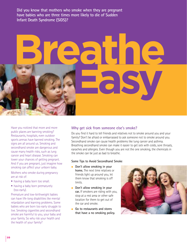**Did you know that mothers who smoke when they are pregnant have babies who are three times more likely to die of Sudden Infant Death Syndrome (SIDS)?** 

# **Breathe Easy**

Have you noticed that more and more public places are banning smoking? Restaurants, hospitals, even outdoor sports arenas have banned smoking. The signs are all around us. Smoking and secondhand smoke are dangerous and cause many health risks, such as lung cancer and heart disease. Smoking can lower your chances of getting pregnant. And if you are pregnant, just imagine how smoking can affect your unborn baby.

Mothers who smoke during pregnancy are at risk of:

- having a baby born too small.
- having a baby born prematurely (too early).

Premature and low-birthweight babies can have life-long disabilities like mental retardation and learning problems. Some babies who are born too early struggle to live. Smoking cigarettes and secondhand smoke are harmful to you, your baby and your family. So why risk your health and the health of your family?

#### **Why get sick from someone else's smoke?**

Do you find it hard to tell friends and relatives not to smoke around you and your family? Don't be afraid or embarrassed to ask someone not to smoke around you. Secondhand smoke can cause health problems like lung cancer and asthma. Breathing secondhand smoke can make it easier to get sick with colds, sore throats, earaches and allergies. Even though you are not the one smoking, the chemicals in the smoke can be just as bad to breathe.

#### **Some Tips to Avoid Secondhand Smoke**

- **Don't allow smoking in your home.** The next time relatives or friends light up around you, let them know that smoking is off limits.
- **Don't allow smoking in your car.** If smokers are riding with you, stop at a rest area or other safe location for them to get out of the car and smoke.
- **Go to restaurants and stores that have a no smoking policy.**

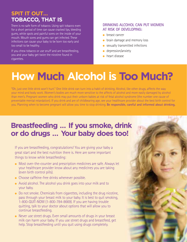#### **SPIT IT OUT… TOBACCO, THAT IS**

There is no safe form of tobacco. Using spit tobacco even for a short period of time can cause cracked lips, bleeding gums, white spots and painful sores on the inside of your mouth. Mouth sores and gums can get infected. These infections can cause your baby to be born too early and too small to be healthy.

If you chew tobacco or use snuff and are breastfeeding, you and your baby get twice the nicotine found in cigarettes.

#### **DRINKING ALCOHOL CAN PUT WOMEN AT RISK OF DEVELOPING:**

- breast cancer
- brain damage and memory loss
- sexually transmitted infections
- depression/anxiety
- heart disease

## **How Much Alcohol is Too Much?**

"Oh, just one little drink won't hurt." One little drink can turn into a habit of drinking. Alcohol, like other drugs, affects the way your mind and body work. Women's bodies are much more sensitive to the affects of alcohol and more easily damaged by alcohol than men's. Pregnant women who drink may put their unborn babies at risk of fetal alcohol syndrome (the number one cause of preventable mental retardation). If you drink and are of childbearing age, see your healthcare provider about the best birth control for you. Planning when to become pregnant will allow you time to stop drinking. **Be responsible, careful and informed about drinking.**

#### **Breastfeeding … If you smoke, drink or do drugs … Your baby does too!**

If you are breastfeeding, congratulations! You are giving your baby a great start and the best nutrition there is. Here are some important things to know while breastfeeding:

- Most over-the-counter and prescription medicines are safe. Always let your healthcare provider know about any medicines you are taking (even birth control pills).
- Choose caffeine-free drinks whenever possible.
- Avoid alcohol. The alcohol you drink goes into your milk and to your baby.
- Do not smoke. Chemicals from cigarettes, including the drug nicotine, pass through your breast milk to your baby. It is best to quit smoking, 1-800-QUIT-NOW (1-800-784-8669). If you are having trouble quitting, talk to your doctor about options that will allow you to continue breastfeeding.
- Never use street drugs. Even small amounts of drugs in your breast milk can harm your baby. If you use street drugs and breastfeed, get help. Stop breastfeeding until you quit using drugs completely.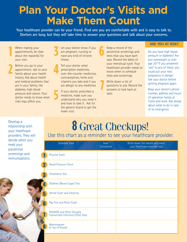### **Plan Your Doctor's Visits and Make Them Count**

**Your healthcare provider can be your friend. Find one you are comfortable with and is easy to talk to. Doctors are busy, but they will take time to answer your questions and talk about your concerns.**

When making your appointments, be clear about the reason(s) for your visit.

**1**

Before you go to your appointment, talk to your family about your health history. Ask about health and medical problems that are in your family, like diabetes, high blood pressure and cancer. Your doctor needs to know what risks may affect you. **2**

Let your doctor know if you are pregnant, nursing or have any kind of chronic illness. **3**

Tell your doctor what prescription medicines, over-the-counter medicines, contraceptives, herbs and vitamins you take and if you are allergic to any medicines. **4**

> If your doctor prescribes a medicine, make sure you understand why you need it and how to take it. Ask for the generic brand to get the lower cost.

**5**

Keep a record of the preventive screenings and tests that you have each year. Record the dates of your menstrual cycle. Your healthcare provider needs to know when to schedule tests and screenings. **6**

Write down a list of questions to ask. Record the answers to look back at later. **7**

#### **ARE YOU AT RISK?**

Do you have high blood pressure or diabetes? Are you overweight or over age 35? If you answered "yes" to any of these, you could put your next pregnancy in danger. See your doctor before getting pregnant again.

Keep your doctor's phone number, address and hours of operation handy at home and work. Ask ahead about what to do in case of an emergency.

Develop a relationship with your healthcare providers. They will decide when you need your preventive screenings and immunizations.

**12**

#### **8** Great Checkups! Use this chart as a reminder to see your healthcare provider.

|                         | Schedule Your                                                      | Date<br>Completed | Write down the results and what<br>your healthcare provider said |
|-------------------------|--------------------------------------------------------------------|-------------------|------------------------------------------------------------------|
|                         | Physical Exam                                                      |                   |                                                                  |
| $\overline{\mathbf{2}}$ | <b>Blood Pressure Check</b>                                        |                   |                                                                  |
| 3                       | <b>Cholesterol Test</b>                                            |                   |                                                                  |
| 4                       | Diabetes (Blood Sugar) Test                                        |                   |                                                                  |
| 5                       | Dental Exam and Cleaning                                           |                   |                                                                  |
| 6                       | Pap Test and Pelvic Exam                                           |                   |                                                                  |
| 7                       | HIV/AIDS and Other Sexually<br>Transmitted Infections (STIs) Tests |                   |                                                                  |
| 8                       | Mammogram<br>(x-ray of breast)                                     |                   |                                                                  |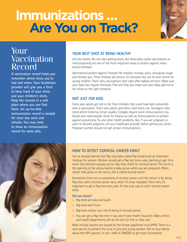## **Immunizations … Are You on Track?**



#### Your **Vaccination** Record

**A vaccination record helps you remember which shots you've had and when. Your healthcare provider will give you a form to keep track of your shots and your children's shots. Keep the records in a safe place where you can find them. An up-to-date immunization record is needed for most day cares and schools. You may need to show an immunization record for some jobs.**

#### **YOUR BEST SHOT AT BEING HEALTHY**

Let's be honest. No one likes getting shots. But shots (also called vaccinations or immunizations) are one of the most important ways to protect against many serious illnesses.

Vaccinations protect against illnesses like measles, mumps, polio, whooping cough and chicken pox. These illnesses are serious for everyone but can be even worse for young children. That's why vaccinations start right after babies are born. Make sure your baby has regular checkups. That will help you make sure your baby gets his or her shots on the right schedule.

#### **NOT JUST FOR KIDS**

Every year, adults get sick or die from illnesses that could have been prevented with a vaccination. That's why adults and teens need shots, too. Teenagers need shots before entering certain grades. Colleges require some immunizations too. Adults also need booster shots for tetanus as well as immunizations to protect against pneumonia, flu and other health problems. But, if you are pregnant or want to become pregnant, tell your healthcare provider before getting any shots. Pregnant women should not get certain immunizations.



#### **HOW TO DETECT CERVICAL CANCER EARLY**

You've already learned that Pap tests (also called Pap smears) are an important checkup for women. Women should get a Pap test every year, starting at age 18 or when they become sexually active. Pap tests check for cervical cancer. The cervix is the opening to the uterus (where a baby grows while you are pregnant). When cancer cells grow on the cervix, this is called cervical cancer.

Sometimes there are no symptoms of cervical cancer until the cancer is far along. Pap tests catch cervical cancer early, when it's most treatable. That's why it's important to get a Pap test every year. It's the only way to catch cervical cancer early.

#### **Did you know?**

- Pap tests are easy and quick.
- Pap tests don't hurt.
- Pap tests reduce your risk of dying of cervical cancer.
- You can get a Pap test even if you don't have health insurance. Many clinics and health departments will do the test for free or little cost.

Most cervical cancers are caused by the human papilloma virus (HPV). There is a new vaccine to prevent the virus in girls and young women. Talk to your doctor about the HPV vaccine, or call 1-800-4-CANCER to get more information.